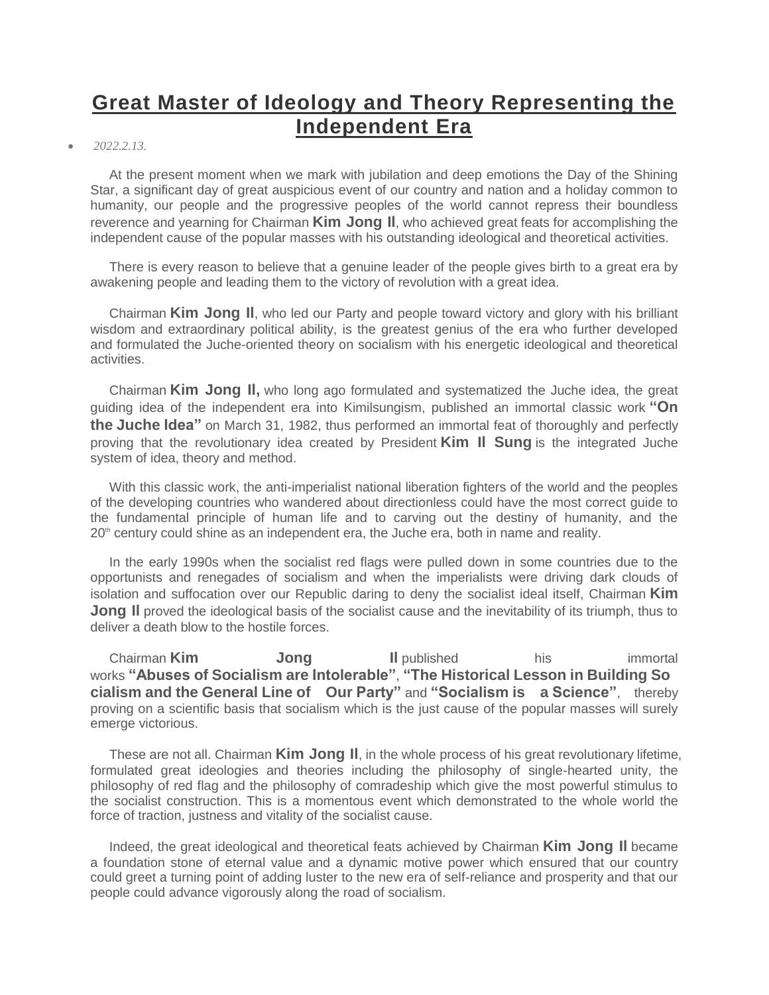# **[Great Master of Ideology and Theory Representing the](javascript:;)  [Independent Era](javascript:;)**

#### *2022.2.13.*

At the present moment when we mark with jubilation and deep emotions the Day of the Shining Star, a significant day of great auspicious event of our country and nation and a holiday common to humanity, our people and the progressive peoples of the world cannot repress their boundless reverence and yearning for Chairman **Kim Jong Il**, who achieved great feats for accomplishing the independent cause of the popular masses with his outstanding ideological and theoretical activities.

There is every reason to believe that a genuine leader of the people gives birth to a great era by awakening people and leading them to the victory of revolution with a great idea.

Chairman **Kim Jong Il**, who led our Party and people toward victory and glory with his brilliant wisdom and extraordinary political ability, is the greatest genius of the era who further developed and formulated the Juche-oriented theory on socialism with his energetic ideological and theoretical activities.

Chairman **Kim Jong Il,** who long ago formulated and systematized the Juche idea, the great guiding idea of the independent era into Kimilsungism, published an immortal classic work **"On the Juche Idea"** on March 31, 1982, thus performed an immortal feat of thoroughly and perfectly proving that the revolutionary idea created by President **Kim Il Sung** is the integrated Juche system of idea, theory and method.

With this classic work, the anti-imperialist national liberation fighters of the world and the peoples of the developing countries who wandered about directionless could have the most correct guide to the fundamental principle of human life and to carving out the destiny of humanity, and the  $20<sup>th</sup>$  century could shine as an independent era, the Juche era, both in name and reality.

In the early 1990s when the socialist red flags were pulled down in some countries due to the opportunists and renegades of socialism and when the imperialists were driving dark clouds of isolation and suffocation over our Republic daring to deny the socialist ideal itself, Chairman **Kim Jong II** proved the ideological basis of the socialist cause and the inevitability of its triumph, thus to deliver a death blow to the hostile forces.

Chairman **Kim Jong Il** published his immortal works **"Abuses of Socialism are Intolerable"**, **"The Historical Lesson in Building So cialism and the General Line of Our Party"** and **"Socialism is a Science"**, thereby proving on a scientific basis that socialism which is the just cause of the popular masses will surely emerge victorious.

These are not all. Chairman **Kim Jong Il**, in the whole process of his great revolutionary lifetime, formulated great ideologies and theories including the philosophy of single-hearted unity, the philosophy of red flag and the philosophy of comradeship which give the most powerful stimulus to the socialist construction. This is a momentous event which demonstrated to the whole world the force of traction, justness and vitality of the socialist cause.

Indeed, the great ideological and theoretical feats achieved by Chairman **Kim Jong Il** became a foundation stone of eternal value and a dynamic motive power which ensured that our country could greet a turning point of adding luster to the new era of self-reliance and prosperity and that our people could advance vigorously along the road of socialism.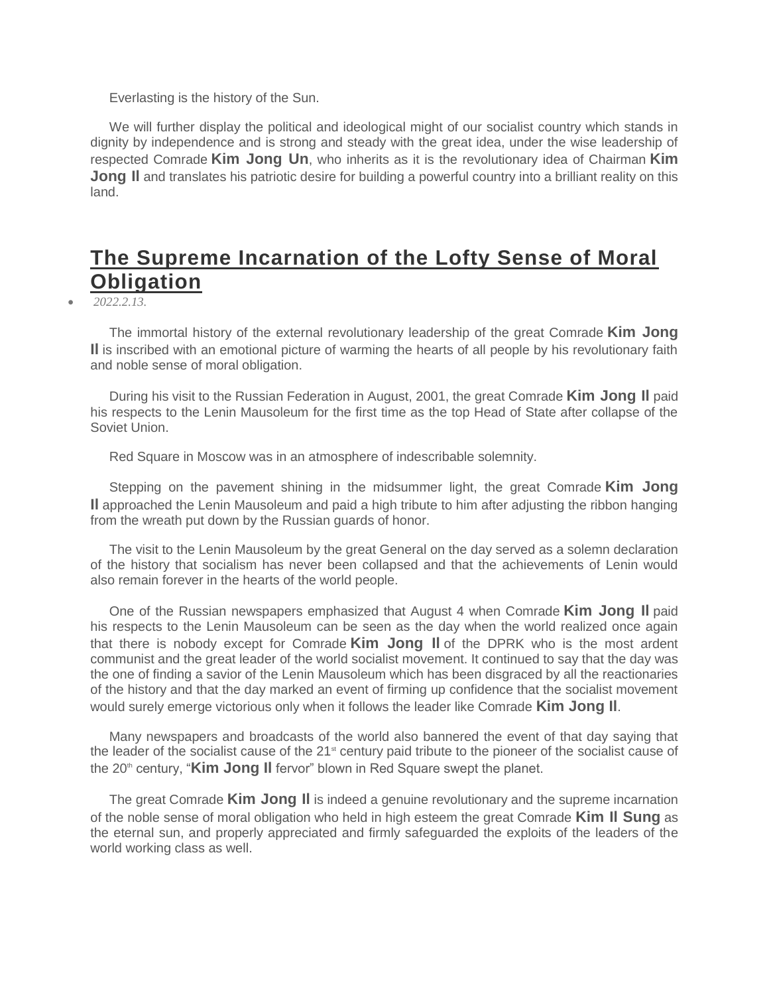Everlasting is the history of the Sun.

We will further display the political and ideological might of our socialist country which stands in dignity by independence and is strong and steady with the great idea, under the wise leadership of respected Comrade **Kim Jong Un**, who inherits as it is the revolutionary idea of Chairman **Kim Jong II** and translates his patriotic desire for building a powerful country into a brilliant reality on this land.

# **[The Supreme Incarnation of the Lofty Sense of Moral](javascript:;)  [Obligation](javascript:;)**

*2022.2.13.*

The immortal history of the external revolutionary leadership of the great Comrade **Kim Jong Il** is inscribed with an emotional picture of warming the hearts of all people by his revolutionary faith and noble sense of moral obligation.

During his visit to the Russian Federation in August, 2001, the great Comrade **Kim Jong Il** paid his respects to the Lenin Mausoleum for the first time as the top Head of State after collapse of the Soviet Union.

Red Square in Moscow was in an atmosphere of indescribable solemnity.

Stepping on the pavement shining in the midsummer light, the great Comrade **Kim Jong Il** approached the Lenin Mausoleum and paid a high tribute to him after adjusting the ribbon hanging from the wreath put down by the Russian guards of honor.

The visit to the Lenin Mausoleum by the great General on the day served as a solemn declaration of the history that socialism has never been collapsed and that the achievements of Lenin would also remain forever in the hearts of the world people.

One of the Russian newspapers emphasized that August 4 when Comrade **Kim Jong Il** paid his respects to the Lenin Mausoleum can be seen as the day when the world realized once again that there is nobody except for Comrade **Kim Jong Il** of the DPRK who is the most ardent communist and the great leader of the world socialist movement. It continued to say that the day was the one of finding a savior of the Lenin Mausoleum which has been disgraced by all the reactionaries of the history and that the day marked an event of firming up confidence that the socialist movement would surely emerge victorious only when it follows the leader like Comrade **Kim Jong Il**.

Many newspapers and broadcasts of the world also bannered the event of that day saying that the leader of the socialist cause of the 21<sup>st</sup> century paid tribute to the pioneer of the socialist cause of the 20<sup>th</sup> century, "**Kim Jong II** fervor" blown in Red Square swept the planet.

The great Comrade **Kim Jong Il** is indeed a genuine revolutionary and the supreme incarnation of the noble sense of moral obligation who held in high esteem the great Comrade **Kim Il Sung** as the eternal sun, and properly appreciated and firmly safeguarded the exploits of the leaders of the world working class as well.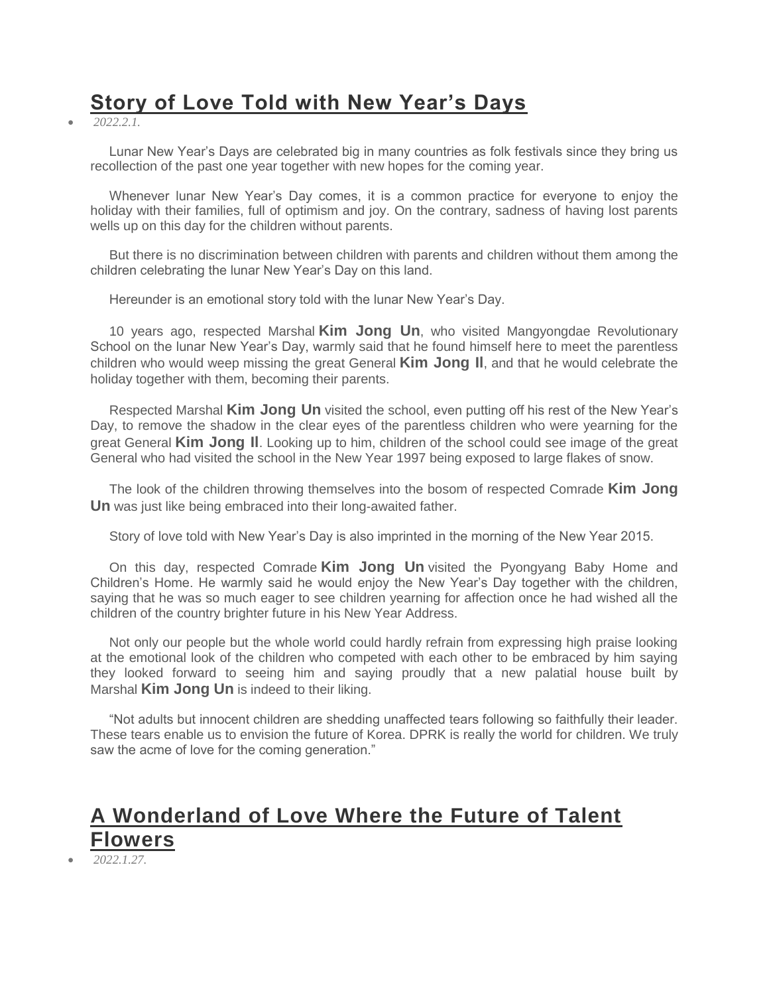# **[Story of Love Told with New Year's Days](javascript:;)**

*2022.2.1.*

Lunar New Year's Days are celebrated big in many countries as folk festivals since they bring us recollection of the past one year together with new hopes for the coming year.

Whenever lunar New Year's Day comes, it is a common practice for everyone to enjoy the holiday with their families, full of optimism and joy. On the contrary, sadness of having lost parents wells up on this day for the children without parents.

But there is no discrimination between children with parents and children without them among the children celebrating the lunar New Year's Day on this land.

Hereunder is an emotional story told with the lunar New Year's Day.

10 years ago, respected Marshal **Kim Jong Un**, who visited Mangyongdae Revolutionary School on the lunar New Year's Day, warmly said that he found himself here to meet the parentless children who would weep missing the great General **Kim Jong Il**, and that he would celebrate the holiday together with them, becoming their parents.

Respected Marshal **Kim Jong Un** visited the school, even putting off his rest of the New Year's Day, to remove the shadow in the clear eyes of the parentless children who were yearning for the great General **Kim Jong Il**. Looking up to him, children of the school could see image of the great General who had visited the school in the New Year 1997 being exposed to large flakes of snow.

The look of the children throwing themselves into the bosom of respected Comrade **Kim Jong Un** was just like being embraced into their long-awaited father.

Story of love told with New Year's Day is also imprinted in the morning of the New Year 2015.

On this day, respected Comrade **Kim Jong Un** visited the Pyongyang Baby Home and Children's Home. He warmly said he would enjoy the New Year's Day together with the children, saying that he was so much eager to see children yearning for affection once he had wished all the children of the country brighter future in his New Year Address.

Not only our people but the whole world could hardly refrain from expressing high praise looking at the emotional look of the children who competed with each other to be embraced by him saying they looked forward to seeing him and saying proudly that a new palatial house built by Marshal **Kim Jong Un** is indeed to their liking.

"Not adults but innocent children are shedding unaffected tears following so faithfully their leader. These tears enable us to envision the future of Korea. DPRK is really the world for children. We truly saw the acme of love for the coming generation."

# **[A Wonderland of Love Where the Future of Talent](javascript:;)  [Flowers](javascript:;)**

*2022.1.27.*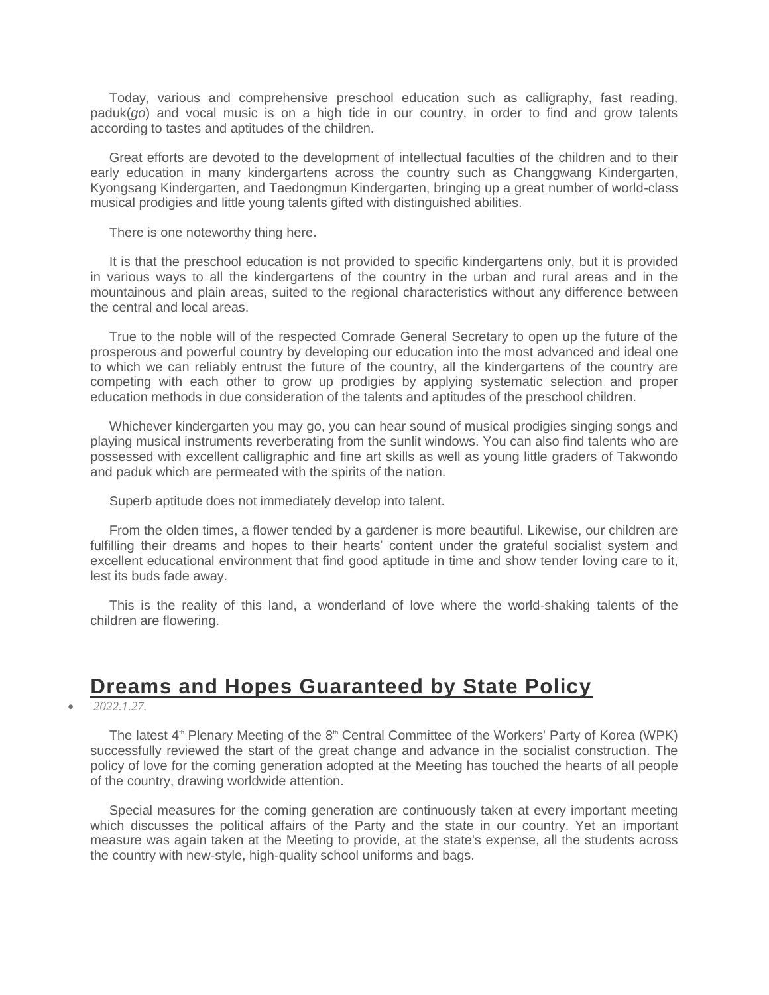Today, various and comprehensive preschool education such as calligraphy, fast reading, paduk(*go*) and vocal music is on a high tide in our country, in order to find and grow talents according to tastes and aptitudes of the children.

Great efforts are devoted to the development of intellectual faculties of the children and to their early education in many kindergartens across the country such as Changgwang Kindergarten, Kyongsang Kindergarten, and Taedongmun Kindergarten, bringing up a great number of world-class musical prodigies and little young talents gifted with distinguished abilities.

There is one noteworthy thing here.

It is that the preschool education is not provided to specific kindergartens only, but it is provided in various ways to all the kindergartens of the country in the urban and rural areas and in the mountainous and plain areas, suited to the regional characteristics without any difference between the central and local areas.

True to the noble will of the respected Comrade General Secretary to open up the future of the prosperous and powerful country by developing our education into the most advanced and ideal one to which we can reliably entrust the future of the country, all the kindergartens of the country are competing with each other to grow up prodigies by applying systematic selection and proper education methods in due consideration of the talents and aptitudes of the preschool children.

Whichever kindergarten you may go, you can hear sound of musical prodigies singing songs and playing musical instruments reverberating from the sunlit windows. You can also find talents who are possessed with excellent calligraphic and fine art skills as well as young little graders of Takwondo and paduk which are permeated with the spirits of the nation.

Superb aptitude does not immediately develop into talent.

From the olden times, a flower tended by a gardener is more beautiful. Likewise, our children are fulfilling their dreams and hopes to their hearts' content under the grateful socialist system and excellent educational environment that find good aptitude in time and show tender loving care to it, lest its buds fade away.

This is the reality of this land, a wonderland of love where the world-shaking talents of the children are flowering.

### **[Dreams and Hopes Guaranteed by State Policy](javascript:;)**

*2022.1.27.*

The latest 4<sup>th</sup> Plenary Meeting of the 8<sup>th</sup> Central Committee of the Workers' Party of Korea (WPK) successfully reviewed the start of the great change and advance in the socialist construction. The policy of love for the coming generation adopted at the Meeting has touched the hearts of all people of the country, drawing worldwide attention.

Special measures for the coming generation are continuously taken at every important meeting which discusses the political affairs of the Party and the state in our country. Yet an important measure was again taken at the Meeting to provide, at the state's expense, all the students across the country with new-style, high-quality school uniforms and bags.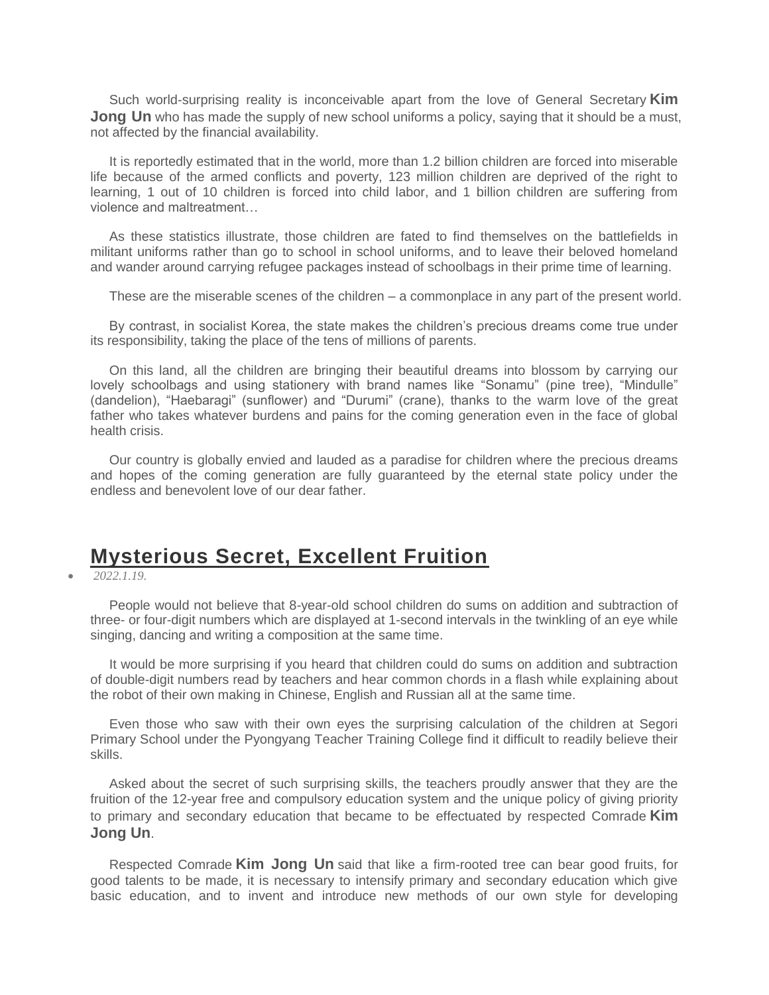Such world-surprising reality is inconceivable apart from the love of General Secretary **Kim Jong Un** who has made the supply of new school uniforms a policy, saying that it should be a must, not affected by the financial availability.

It is reportedly estimated that in the world, more than 1.2 billion children are forced into miserable life because of the armed conflicts and poverty, 123 million children are deprived of the right to learning, 1 out of 10 children is forced into child labor, and 1 billion children are suffering from violence and maltreatment…

As these statistics illustrate, those children are fated to find themselves on the battlefields in militant uniforms rather than go to school in school uniforms, and to leave their beloved homeland and wander around carrying refugee packages instead of schoolbags in their prime time of learning.

These are the miserable scenes of the children – a commonplace in any part of the present world.

By contrast, in socialist Korea, the state makes the children's precious dreams come true under its responsibility, taking the place of the tens of millions of parents.

On this land, all the children are bringing their beautiful dreams into blossom by carrying our lovely schoolbags and using stationery with brand names like "Sonamu" (pine tree), "Mindulle" (dandelion), "Haebaragi" (sunflower) and "Durumi" (crane), thanks to the warm love of the great father who takes whatever burdens and pains for the coming generation even in the face of global health crisis.

Our country is globally envied and lauded as a paradise for children where the precious dreams and hopes of the coming generation are fully guaranteed by the eternal state policy under the endless and benevolent love of our dear father.

### **[Mysterious Secret, Excellent Fruition](javascript:;)**

*2022.1.19.*

People would not believe that 8-year-old school children do sums on addition and subtraction of three- or four-digit numbers which are displayed at 1-second intervals in the twinkling of an eye while singing, dancing and writing a composition at the same time.

It would be more surprising if you heard that children could do sums on addition and subtraction of double-digit numbers read by teachers and hear common chords in a flash while explaining about the robot of their own making in Chinese, English and Russian all at the same time.

Even those who saw with their own eyes the surprising calculation of the children at Segori Primary School under the Pyongyang Teacher Training College find it difficult to readily believe their skills.

Asked about the secret of such surprising skills, the teachers proudly answer that they are the fruition of the 12-year free and compulsory education system and the unique policy of giving priority to primary and secondary education that became to be effectuated by respected Comrade **Kim Jong Un**.

Respected Comrade **Kim Jong Un** said that like a firm-rooted tree can bear good fruits, for good talents to be made, it is necessary to intensify primary and secondary education which give basic education, and to invent and introduce new methods of our own style for developing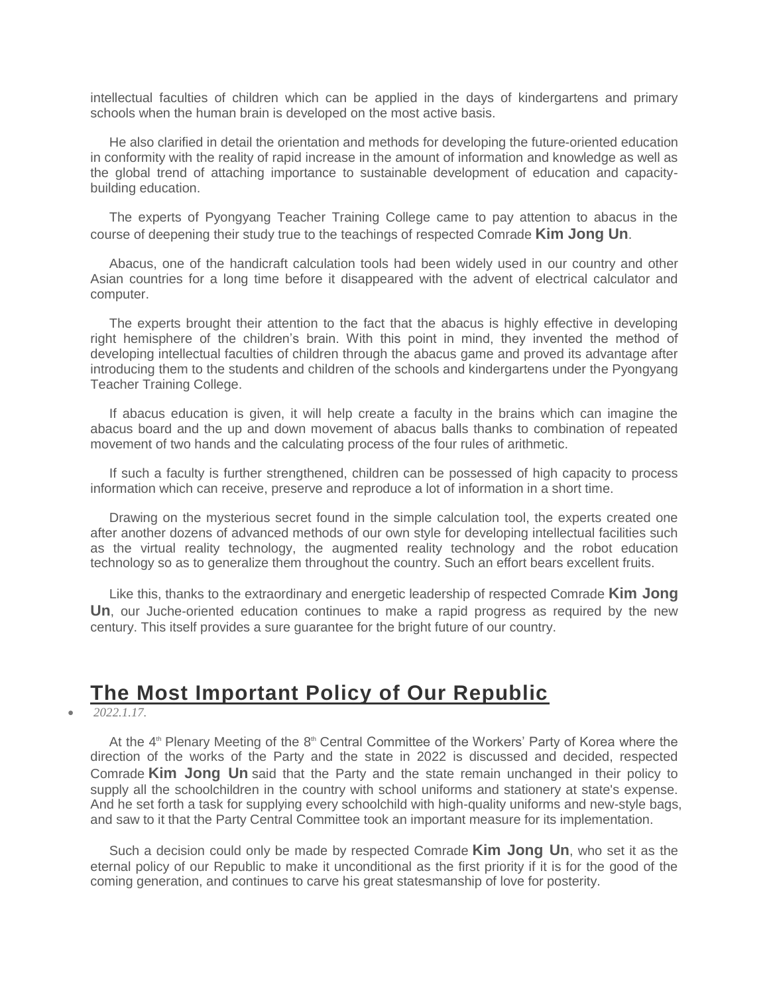intellectual faculties of children which can be applied in the days of kindergartens and primary schools when the human brain is developed on the most active basis.

He also clarified in detail the orientation and methods for developing the future-oriented education in conformity with the reality of rapid increase in the amount of information and knowledge as well as the global trend of attaching importance to sustainable development of education and capacitybuilding education.

The experts of Pyongyang Teacher Training College came to pay attention to abacus in the course of deepening their study true to the teachings of respected Comrade **Kim Jong Un**.

Abacus, one of the handicraft calculation tools had been widely used in our country and other Asian countries for a long time before it disappeared with the advent of electrical calculator and computer.

The experts brought their attention to the fact that the abacus is highly effective in developing right hemisphere of the children's brain. With this point in mind, they invented the method of developing intellectual faculties of children through the abacus game and proved its advantage after introducing them to the students and children of the schools and kindergartens under the Pyongyang Teacher Training College.

If abacus education is given, it will help create a faculty in the brains which can imagine the abacus board and the up and down movement of abacus balls thanks to combination of repeated movement of two hands and the calculating process of the four rules of arithmetic.

If such a faculty is further strengthened, children can be possessed of high capacity to process information which can receive, preserve and reproduce a lot of information in a short time.

Drawing on the mysterious secret found in the simple calculation tool, the experts created one after another dozens of advanced methods of our own style for developing intellectual facilities such as the virtual reality technology, the augmented reality technology and the robot education technology so as to generalize them throughout the country. Such an effort bears excellent fruits.

Like this, thanks to the extraordinary and energetic leadership of respected Comrade **Kim Jong Un**, our Juche-oriented education continues to make a rapid progress as required by the new century. This itself provides a sure guarantee for the bright future of our country.

### **[The Most Important Policy of Our Republic](javascript:;)**

*2022.1.17.*

At the  $4<sup>th</sup>$  Plenary Meeting of the  $8<sup>th</sup>$  Central Committee of the Workers' Party of Korea where the direction of the works of the Party and the state in 2022 is discussed and decided, respected Comrade **Kim Jong Un** said that the Party and the state remain unchanged in their policy to supply all the schoolchildren in the country with school uniforms and stationery at state's expense. And he set forth a task for supplying every schoolchild with high-quality uniforms and new-style bags, and saw to it that the Party Central Committee took an important measure for its implementation.

Such a decision could only be made by respected Comrade **Kim Jong Un**, who set it as the eternal policy of our Republic to make it unconditional as the first priority if it is for the good of the coming generation, and continues to carve his great statesmanship of love for posterity.